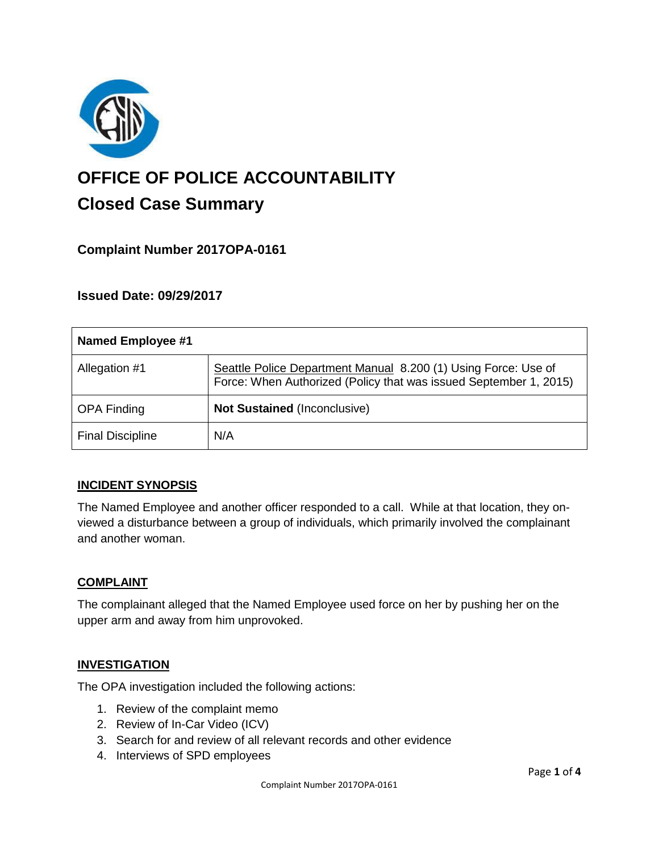

# **OFFICE OF POLICE ACCOUNTABILITY**

## **Closed Case Summary**

### **Complaint Number 2017OPA-0161**

#### **Issued Date: 09/29/2017**

| Named Employee #1       |                                                                                                                                     |
|-------------------------|-------------------------------------------------------------------------------------------------------------------------------------|
| Allegation #1           | Seattle Police Department Manual 8.200 (1) Using Force: Use of<br>Force: When Authorized (Policy that was issued September 1, 2015) |
| <b>OPA Finding</b>      | <b>Not Sustained (Inconclusive)</b>                                                                                                 |
| <b>Final Discipline</b> | N/A                                                                                                                                 |

#### **INCIDENT SYNOPSIS**

The Named Employee and another officer responded to a call. While at that location, they onviewed a disturbance between a group of individuals, which primarily involved the complainant and another woman.

#### **COMPLAINT**

The complainant alleged that the Named Employee used force on her by pushing her on the upper arm and away from him unprovoked.

#### **INVESTIGATION**

The OPA investigation included the following actions:

- 1. Review of the complaint memo
- 2. Review of In-Car Video (ICV)
- 3. Search for and review of all relevant records and other evidence
- 4. Interviews of SPD employees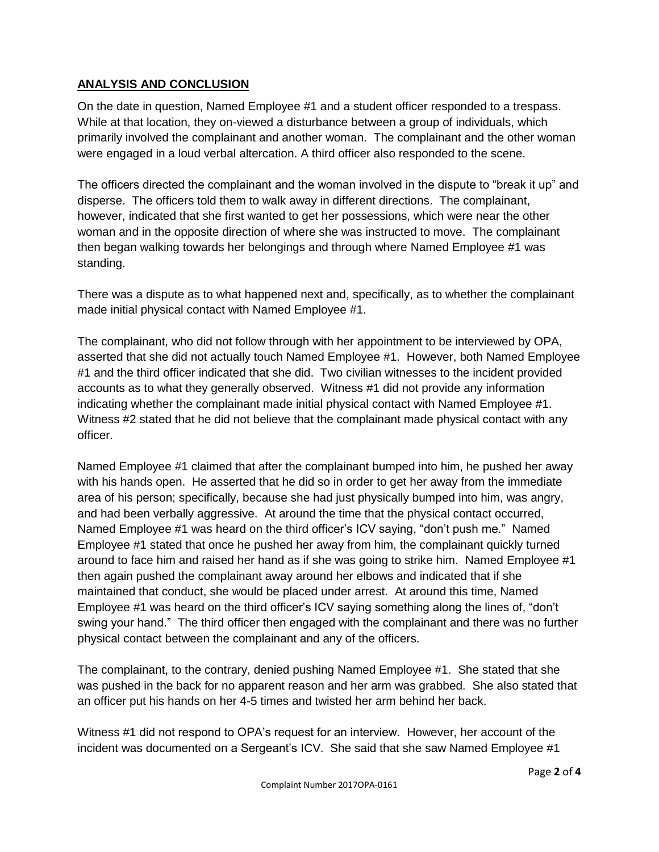#### **ANALYSIS AND CONCLUSION**

On the date in question, Named Employee #1 and a student officer responded to a trespass. While at that location, they on-viewed a disturbance between a group of individuals, which primarily involved the complainant and another woman. The complainant and the other woman were engaged in a loud verbal altercation. A third officer also responded to the scene.

The officers directed the complainant and the woman involved in the dispute to "break it up" and disperse. The officers told them to walk away in different directions. The complainant, however, indicated that she first wanted to get her possessions, which were near the other woman and in the opposite direction of where she was instructed to move. The complainant then began walking towards her belongings and through where Named Employee #1 was standing.

There was a dispute as to what happened next and, specifically, as to whether the complainant made initial physical contact with Named Employee #1.

The complainant, who did not follow through with her appointment to be interviewed by OPA, asserted that she did not actually touch Named Employee #1. However, both Named Employee #1 and the third officer indicated that she did. Two civilian witnesses to the incident provided accounts as to what they generally observed. Witness #1 did not provide any information indicating whether the complainant made initial physical contact with Named Employee #1. Witness #2 stated that he did not believe that the complainant made physical contact with any officer.

Named Employee #1 claimed that after the complainant bumped into him, he pushed her away with his hands open. He asserted that he did so in order to get her away from the immediate area of his person; specifically, because she had just physically bumped into him, was angry, and had been verbally aggressive. At around the time that the physical contact occurred, Named Employee #1 was heard on the third officer's ICV saying, "don't push me." Named Employee #1 stated that once he pushed her away from him, the complainant quickly turned around to face him and raised her hand as if she was going to strike him. Named Employee #1 then again pushed the complainant away around her elbows and indicated that if she maintained that conduct, she would be placed under arrest. At around this time, Named Employee #1 was heard on the third officer's ICV saying something along the lines of, "don't swing your hand." The third officer then engaged with the complainant and there was no further physical contact between the complainant and any of the officers.

The complainant, to the contrary, denied pushing Named Employee #1. She stated that she was pushed in the back for no apparent reason and her arm was grabbed. She also stated that an officer put his hands on her 4-5 times and twisted her arm behind her back.

Witness #1 did not respond to OPA's request for an interview. However, her account of the incident was documented on a Sergeant's ICV. She said that she saw Named Employee #1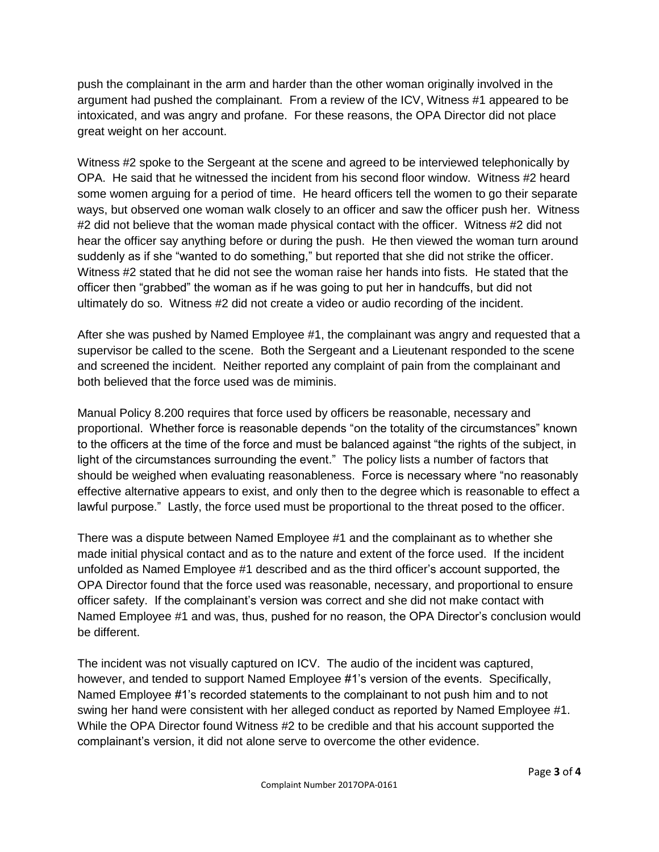push the complainant in the arm and harder than the other woman originally involved in the argument had pushed the complainant. From a review of the ICV, Witness #1 appeared to be intoxicated, and was angry and profane. For these reasons, the OPA Director did not place great weight on her account.

Witness #2 spoke to the Sergeant at the scene and agreed to be interviewed telephonically by OPA. He said that he witnessed the incident from his second floor window. Witness #2 heard some women arguing for a period of time. He heard officers tell the women to go their separate ways, but observed one woman walk closely to an officer and saw the officer push her. Witness #2 did not believe that the woman made physical contact with the officer. Witness #2 did not hear the officer say anything before or during the push. He then viewed the woman turn around suddenly as if she "wanted to do something," but reported that she did not strike the officer. Witness #2 stated that he did not see the woman raise her hands into fists. He stated that the officer then "grabbed" the woman as if he was going to put her in handcuffs, but did not ultimately do so. Witness #2 did not create a video or audio recording of the incident.

After she was pushed by Named Employee #1, the complainant was angry and requested that a supervisor be called to the scene. Both the Sergeant and a Lieutenant responded to the scene and screened the incident. Neither reported any complaint of pain from the complainant and both believed that the force used was de miminis.

Manual Policy 8.200 requires that force used by officers be reasonable, necessary and proportional. Whether force is reasonable depends "on the totality of the circumstances" known to the officers at the time of the force and must be balanced against "the rights of the subject, in light of the circumstances surrounding the event." The policy lists a number of factors that should be weighed when evaluating reasonableness. Force is necessary where "no reasonably effective alternative appears to exist, and only then to the degree which is reasonable to effect a lawful purpose." Lastly, the force used must be proportional to the threat posed to the officer.

There was a dispute between Named Employee #1 and the complainant as to whether she made initial physical contact and as to the nature and extent of the force used. If the incident unfolded as Named Employee #1 described and as the third officer's account supported, the OPA Director found that the force used was reasonable, necessary, and proportional to ensure officer safety. If the complainant's version was correct and she did not make contact with Named Employee #1 and was, thus, pushed for no reason, the OPA Director's conclusion would be different.

The incident was not visually captured on ICV. The audio of the incident was captured, however, and tended to support Named Employee #1's version of the events. Specifically, Named Employee #1's recorded statements to the complainant to not push him and to not swing her hand were consistent with her alleged conduct as reported by Named Employee #1. While the OPA Director found Witness #2 to be credible and that his account supported the complainant's version, it did not alone serve to overcome the other evidence.